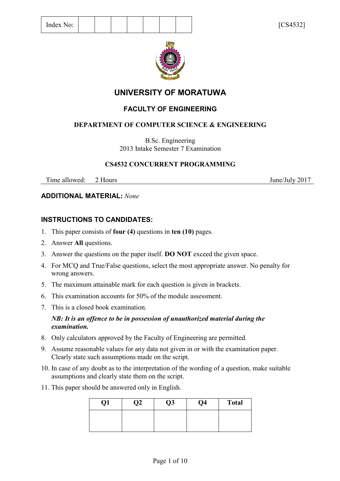

# **UNIVERSITY OF MORATUWA**

## **FACULTY OF ENGINEERING**

## **DEPARTMENT OF COMPUTER SCIENCE & ENGINEERING**

B.Sc. Engineering 2013 Intake Semester 7 Examination

## **CS4532 CONCURRENT PROGRAMMING**

Time allowed: 2 Hours June/July 2017

## **ADDITIONAL MATERIAL:** *None*

## **INSTRUCTIONS TO CANDIDATES:**

- 1. This paper consists of **four (4)** questions in **ten (10)** pages.
- 2. Answer **All** questions.
- 3. Answer the questions on the paper itself. **DO NOT** exceed the given space.
- 4. For MCQ and True/False questions, select the most appropriate answer. No penalty for wrong answers.
- 5. The maximum attainable mark for each question is given in brackets.
- 6. This examination accounts for 50% of the module assessment.
- 7. This is a closed book examination.

### *NB: It is an offence to be in possession of unauthorized material during the examination.*

- 8. Only calculators approved by the Faculty of Engineering are permitted.
- 9. Assume reasonable values for any data not given in or with the examination paper. Clearly state such assumptions made on the script.
- 10. In case of any doubt as to the interpretation of the wording of a question, make suitable assumptions and clearly state them on the script.
- 11. This paper should be answered only in English.

| Q1 | $\mathfrak{D}2$ | Q3 | Q4 | <b>Total</b> |
|----|-----------------|----|----|--------------|
|    |                 |    |    |              |
|    |                 |    |    |              |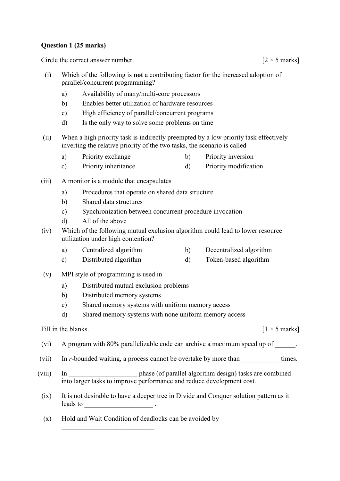#### **Question 1 (25 marks)**

Circle the correct answer number.  $[2 \times 5 \text{ marks}]$ 

- (i) Which of the following is **not** a contributing factor for the increased adoption of parallel/concurrent programming?
	- a) Availability of many/multi-core processors
	- b) Enables better utilization of hardware resources
	- c) High efficiency of parallel/concurrent programs
	- d) Is the only way to solve some problems on time
- (ii) When a high priority task is indirectly preempted by a low priority task effectively inverting the relative priority of the two tasks, the scenario is called
	- a) Priority exchange b) Priority inversion
	- c) Priority inheritance d) Priority modification
- (iii) A monitor is a module that encapsulates
	- a) Procedures that operate on shared data structure
	- b) Shared data structures
	- c) Synchronization between concurrent procedure invocation
	- d) All of the above
- (iv) Which of the following mutual exclusion algorithm could lead to lower resource utilization under high contention?
	- a) Centralized algorithm b) Decentralized algorithm
	- c) Distributed algorithm d) Token-based algorithm
- (v) MPI style of programming is used in
	- a) Distributed mutual exclusion problems
	- b) Distributed memory systems
	- c) Shared memory systems with uniform memory access
	- d) Shared memory systems with none uniform memory access

#### Fill in the blanks.  $[1 \times 5 \text{ marks}]$

- 
- (vi) A program with 80% parallelizable code can archive a maximum speed up of  $\qquad \qquad$ .
- (vii) In *r*-bounded waiting, a process cannot be overtake by more than times.
- (viii) In \_\_\_\_\_\_\_\_\_\_\_\_\_\_\_\_\_\_\_\_ phase (of parallel algorithm design) tasks are combined into larger tasks to improve performance and reduce development cost.
- (ix) It is not desirable to have a deeper tree in Divide and Conquer solution pattern as it leads to \_\_\_\_\_\_\_\_\_\_\_\_\_\_\_\_\_\_\_\_ .
- (x) Hold and Wait Condition of deadlocks can be avoided by  $\Box$

\_\_\_\_\_\_\_\_\_\_\_\_\_\_\_\_\_\_\_\_\_\_\_\_\_\_\_.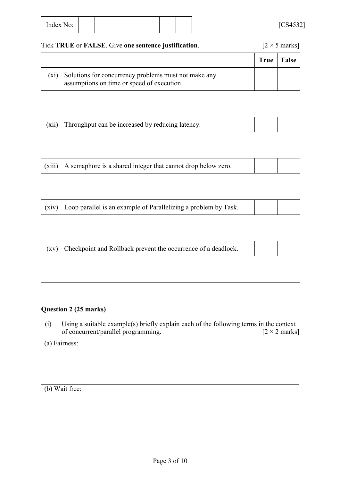| $\sim$<br>Index<br>No: |  |  |  |  |  |  |  | $5001522$<br>-4<br>◡◡<br>⊤ٿر⊤<br>- |
|------------------------|--|--|--|--|--|--|--|------------------------------------|
|------------------------|--|--|--|--|--|--|--|------------------------------------|

### Tick **TRUE** or **FALSE**. Give one sentence justification. [2 × 5 marks]

|                    |                                                                                                    | <b>True</b> | <b>False</b> |
|--------------------|----------------------------------------------------------------------------------------------------|-------------|--------------|
| $(x_i)$            | Solutions for concurrency problems must not make any<br>assumptions on time or speed of execution. |             |              |
|                    |                                                                                                    |             |              |
| (xii)              | Throughput can be increased by reducing latency.                                                   |             |              |
|                    |                                                                                                    |             |              |
| (xiii)             | A semaphore is a shared integer that cannot drop below zero.                                       |             |              |
|                    |                                                                                                    |             |              |
| (xiv)              | Loop parallel is an example of Parallelizing a problem by Task.                                    |             |              |
|                    |                                                                                                    |             |              |
| $\left( xy\right)$ | Checkpoint and Rollback prevent the occurrence of a deadlock.                                      |             |              |
|                    |                                                                                                    |             |              |

#### **Question 2 (25 marks)**

(i) Using a suitable example(s) briefly explain each of the following terms in the context of concurrent/parallel programming.  $[2 \times 2 \text{ marks}]$ of concurrent/parallel programming.

(a) Fairness:

(b) Wait free: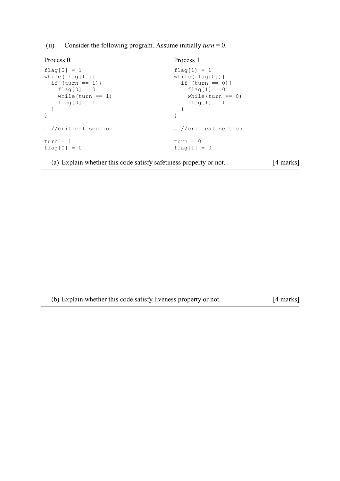(ii) Consider the following program. Assume initially *turn* = 0.

| Process 0           | Process 1           |
|---------------------|---------------------|
| $flag[0] = 1$       | $flaq[1] = 1$       |
| while(flaq[1]){     | while $(flag[0])$ { |
| if (turn == 1) {    | if $(turn == 0)$ {  |
| $flag[0] = 0$       | $flag[1] = 0$       |
| while $(turn == 1)$ | while $turn == 0)$  |
| $flag[0] = 1$       | $flaq[1] = 1$       |
| //critical section  | //critical section  |
| $turn = 1$          | $turn = 0$          |
| $flaq[0] = 0$       | $flaq[1] = 0$       |

(a) Explain whether this code satisfy safetiness property or not. [4 marks]

(b) Explain whether this code satisfy liveness property or not. [4 marks]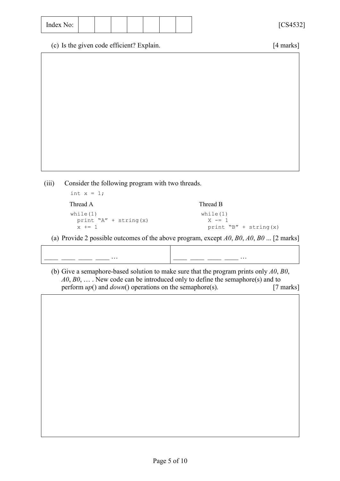(iii) Consider the following program with two threads.

int  $x = 1$ ; Thread A Thread B while(1) while(1) print  ${}^{\prime\prime}A'' +$  string(x)  $X - = 1$  $x$  += 1 print "B" + string(x)

(a) Provide 2 possible outcomes of the above program, except *A0*, *B0*, *A0*, *B0* ... [2 marks]

\_\_\_\_ \_\_\_\_ \_\_\_\_ \_\_\_\_ … \_\_\_\_ \_\_\_\_ \_\_\_\_ \_\_\_\_ … (b) Give a semaphore-based solution to make sure that the program prints only *A0*, *B0*, *A0*, *B0*, … . New code can be introduced only to define the semaphore(s) and to perform *up*() and *down*() operations on the semaphore(s). [7 marks]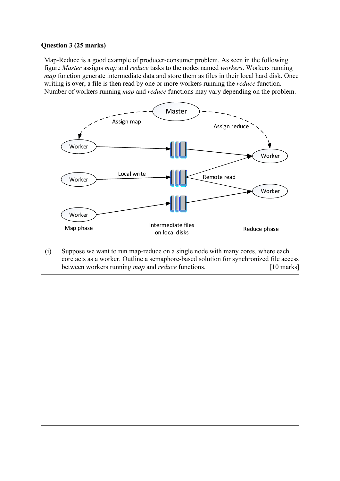#### **Question 3 (25 marks)**

Map-Reduce is a good example of producer-consumer problem. As seen in the following figure *Master* assigns *map* and *reduce* tasks to the nodes named *workers*. Workers running *map* function generate intermediate data and store them as files in their local hard disk. Once writing is over, a file is then read by one or more workers running the *reduce* function. Number of workers running *map* and *reduce* functions may vary depending on the problem.



(i) Suppose we want to run map-reduce on a single node with many cores, where each core acts as a worker. Outline a semaphore-based solution for synchronized file access between workers running *map* and *reduce* functions. [10 marks]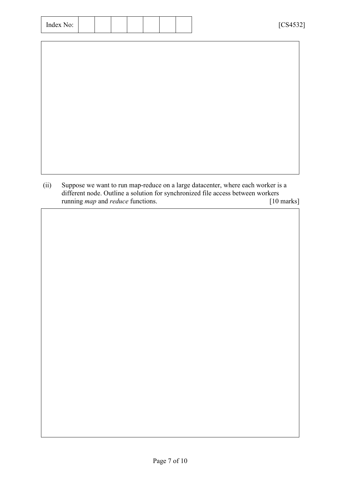| Index No: |  |
|-----------|--|
|-----------|--|

| (ii) | Suppose we want to run map-reduce on a large datacenter, where each worker is a |              |
|------|---------------------------------------------------------------------------------|--------------|
|      | different node. Outline a solution for synchronized file access between workers |              |
|      | running <i>map</i> and <i>reduce</i> functions.                                 | $[10$ marks] |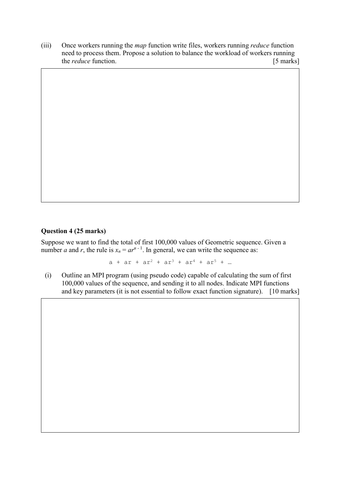(iii) Once workers running the *map* function write files, workers running *reduce* function need to process them. Propose a solution to balance the workload of workers running the *reduce* function. [5 marks]

#### **Question 4 (25 marks)**

Suppose we want to find the total of first 100,000 values of Geometric sequence. Given a number *a* and *r*, the rule is  $x_n = ar^{n-1}$ . In general, we can write the sequence as:

 $a + ar + ar^{2} + ar^{3} + ar^{4} + ar^{5} + ...$ 

(i) Outline an MPI program (using pseudo code) capable of calculating the sum of first 100,000 values of the sequence, and sending it to all nodes. Indicate MPI functions and key parameters (it is not essential to follow exact function signature). [10 marks]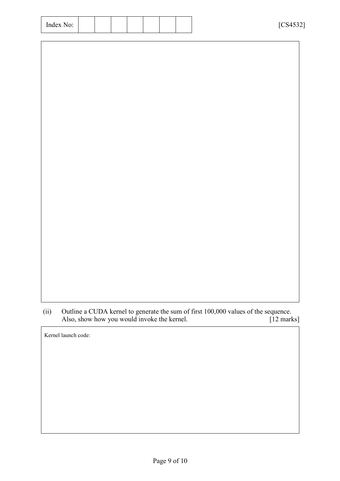| Index No: |  |
|-----------|--|
|-----------|--|

(ii) Outline a CUDA kernel to generate the sum of first 100,000 values of the sequence.<br>Also, show how you would invoke the kernel. [12 marks] Also, show how you would invoke the kernel.

Kernel launch code: